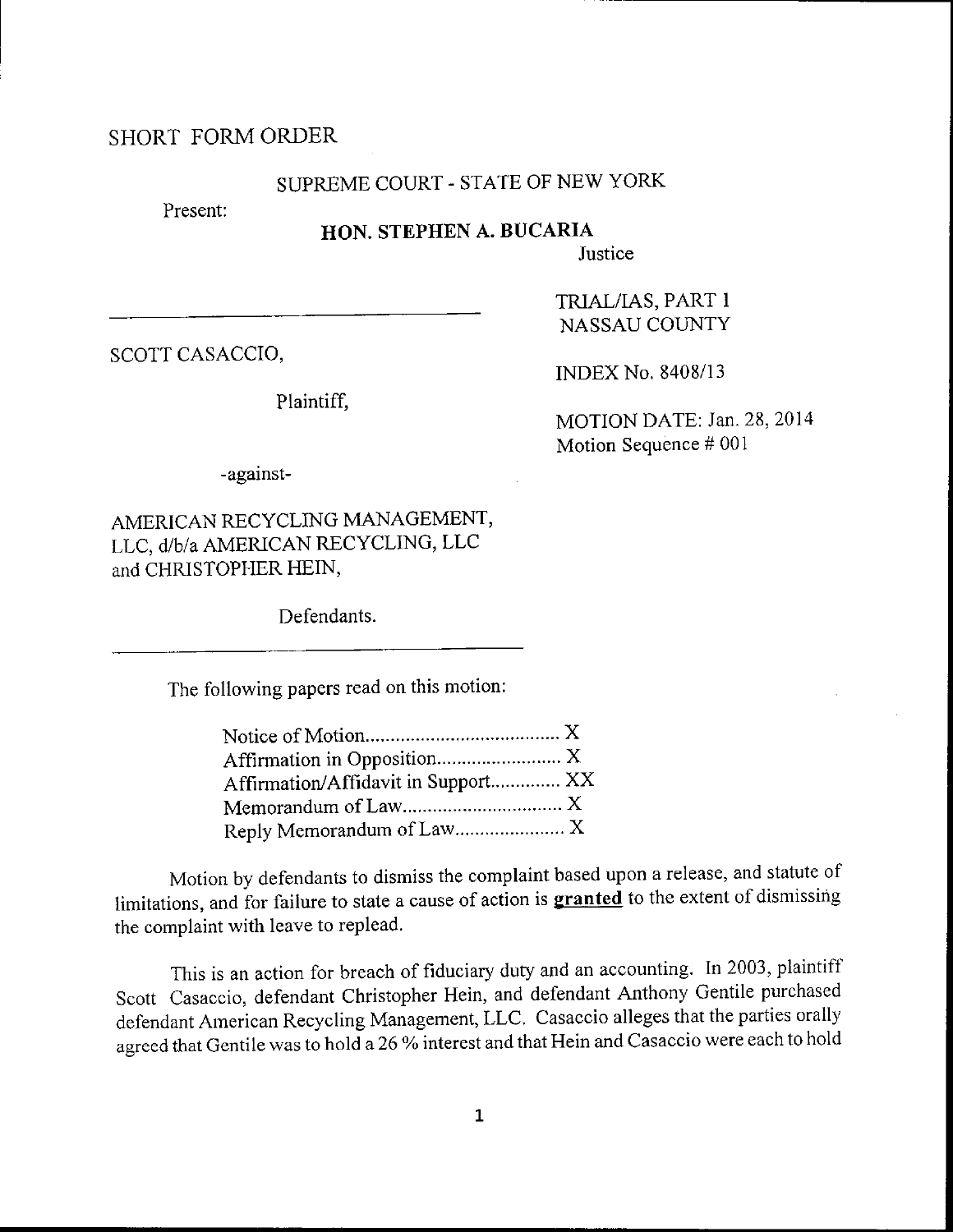### SHORT FORMORDER

# SUPREME COURT - STATE OF NEW YORK

Present:

## HON. STEPHEN A. BUCARIA

Justice

SCOTT CASACCIO,

Plaintiff,

INDEX No, 8408/13

TzuAL/IAS, PART <sup>1</sup> NASSAU COUNTY

MOTION DATE: Jan. 28,2014 Motion Sequence # 001

-against-

AMERICAN RECYCLiNG MANAGEMENT, LLC, d/b/A AMERICAN RECYCLING, LLC and CHRISTOPHER HEIN,

Defendants.

The following papers read on this motion:

| Affirmation/Affidavit in Support XX |  |
|-------------------------------------|--|
|                                     |  |
|                                     |  |

Motion by defendants to dismiss the complaint based upon a release, and statute of limitations, and for failure to state a cause of action is **granted** to the extent of dismissing the cornplaint with leave to replead.

This is an action for breach of hduciary duty and an accounting. In 2003, plaintiff Scott Casaccio, defendant Christopher Hein, and defendant Anthony Gentile purchased defendant American Recycling Management, LLC' Casaccio alleges that the parties orally agreed that Gentile was to hold a 26 % interest and that Hein and Casaccio were each to hold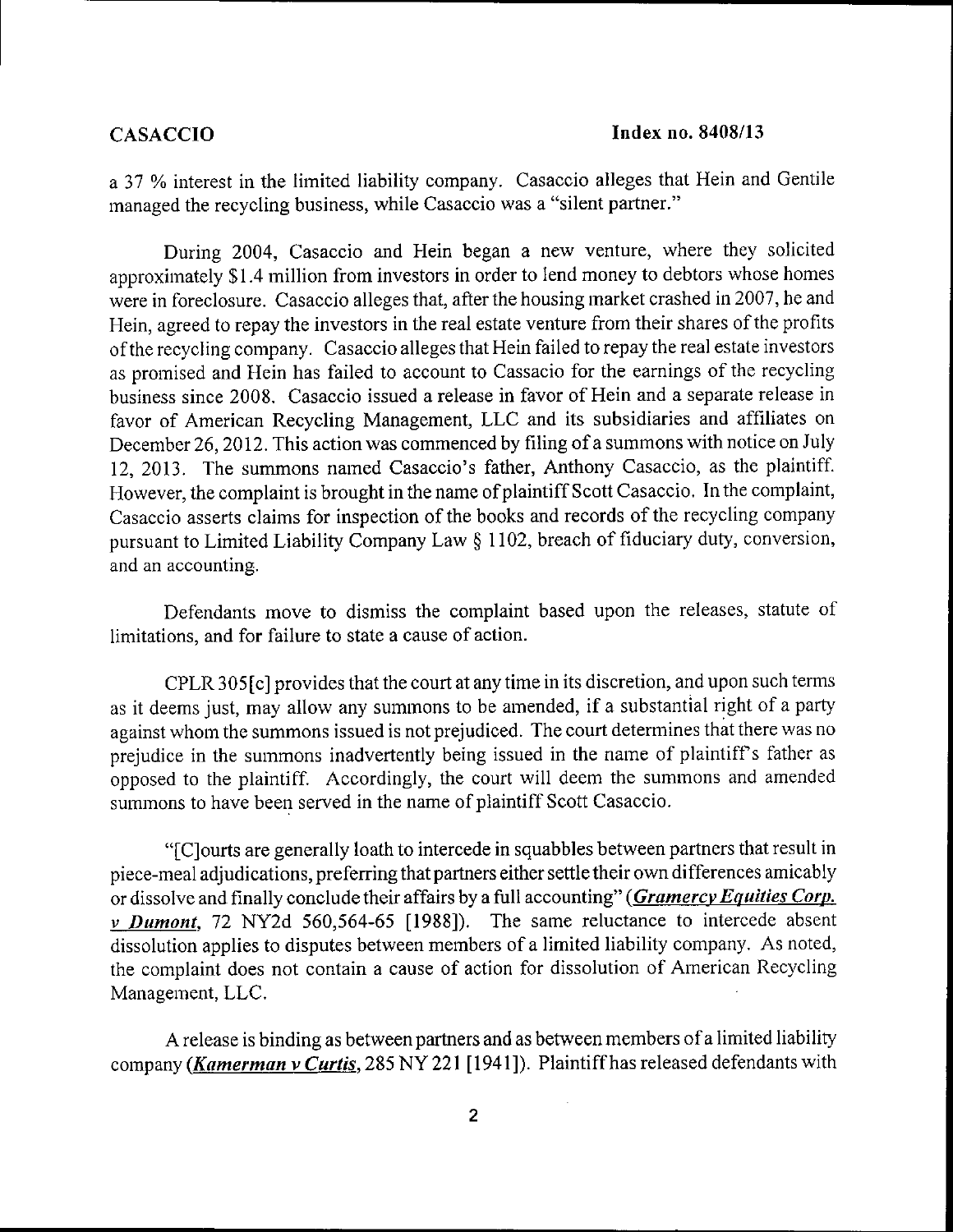a 37 % interest in the limited liability company. Casaccio alleges that Hein and Gentile managed the recycling business, while Casaccio was a "silent partner."

During 2004, Casaccio and Hein began a new venture, where they solicited approximately \$1.4 million from investors in order to lend money to debtors whose homes were in foreclosure. Casaccio alleges that, after the housing market crashed in 2007, he and Hein, agreed to repay the investors in the real estate venture from their shares of the profits ofthe recycling company. Casaccio alleges that Hein failed to repay the real estate investors as promised and Hein has failed to account to Cassacio for the earnings of the recycling business since 2008. Casaccio issued a release in favor of Hein and a separate release in favor of American Recycling Management, LLC and its subsidiaries and afhliates on December 26, 2012. This action was commenced by filing of a summons with notice on July 12,2013. The summons named Casaccio's father, Anthony Casaccio, as the plaintiff. However, the complaint is brought in the name of plaintiff Scott Casaccio. In the complaint, Casaccio asserts claims for inspection of the books and records of the recycling company pursuant to Limited Liability Company Law \$ I 102, breach of fiduciary duty, conversion, and an accounting.

Defendants move to dismiss the complaint based upon the releases, statute of limitations, and for failure to state a cause of action.

CPLR 305 [c] provides that the court at any time in its discretion, and upon such terms as it deems just, may allow any summons to be amended, if a substantial right of a party against whom the summons issued is not prejudiced. The court determines that there was no prejudice in the summons inadvertently being issued in the name of plaintiff's father as opposed to the plaintiff. Accordingly, the court will deem the summons and amended summons to have been served in the name of plaintiff Scott Casaccio.

"[C]ourts are generally loath to intercede in squabbles between partners that result in piece-meal adjudications, preferring that partners either settle their own differences amicably or dissolve and finally conclude their affairs by a full accounting" (Gramercy Equities Corp. v Dumont, 72 NY2d 560,564-65 [1988]). The same reluctance to intercede absent dissolution applies to disputes between members of a limited liability company. As noted, the complaint does not contain a cause of action for dissolution of Arnerican Recycling Management, LLC.

A release is binding as between partners and as between members of a limited liability company (Kamerman v Curtis, 285 NY 221 [1941]). Plaintiff has released defendants with